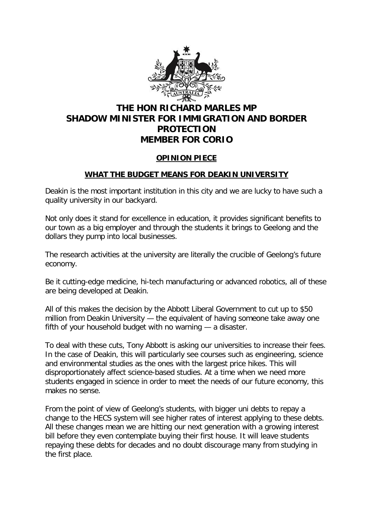

## **THE HON RICHARD MARLES MP SHADOW MINISTER FOR IMMIGRATION AND BORDER PROTECTION MEMBER FOR CORIO**

## **OPINION PIECE**

## **WHAT THE BUDGET MEANS FOR DEAKIN UNIVERSITY**

Deakin is the most important institution in this city and we are lucky to have such a quality university in our backyard.

Not only does it stand for excellence in education, it provides significant benefits to our town as a big employer and through the students it brings to Geelong and the dollars they pump into local businesses.

The research activities at the university are literally the crucible of Geelong's future economy.

Be it cutting-edge medicine, hi-tech manufacturing or advanced robotics, all of these are being developed at Deakin.

All of this makes the decision by the Abbott Liberal Government to cut up to \$50 million from Deakin University — the equivalent of having someone take away one fifth of your household budget with no warning — a disaster.

To deal with these cuts, Tony Abbott is asking our universities to increase their fees. In the case of Deakin, this will particularly see courses such as engineering, science and environmental studies as the ones with the largest price hikes. This will disproportionately affect science-based studies. At a time when we need more students engaged in science in order to meet the needs of our future economy, this makes no sense.

From the point of view of Geelong's students, with bigger uni debts to repay a change to the HECS system will see higher rates of interest applying to these debts. All these changes mean we are hitting our next generation with a growing interest bill before they even contemplate buying their first house. It will leave students repaying these debts for decades and no doubt discourage many from studying in the first place.